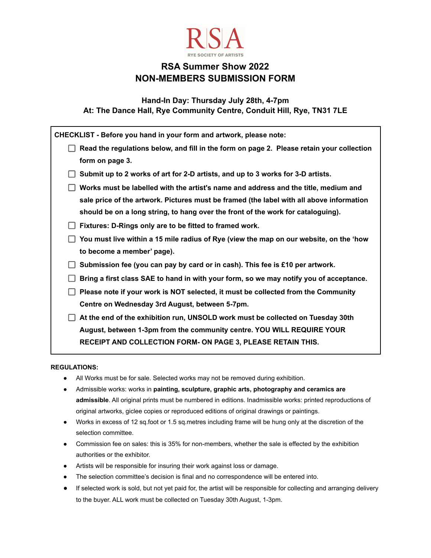

# **RSA Summer Show 2022 NON-MEMBERS SUBMISSION FORM**

**Hand-In Day: Thursday July 28th, 4-7pm At: The Dance Hall, Rye Community Centre, Conduit Hill, Rye, TN31 7LE**

| CHECKLIST - Before you hand in your form and artwork, please note:                        |
|-------------------------------------------------------------------------------------------|
| Read the regulations below, and fill in the form on page 2. Please retain your collection |
| form on page 3.                                                                           |
| Submit up to 2 works of art for 2-D artists, and up to 3 works for 3-D artists.           |
| Works must be labelled with the artist's name and address and the title, medium and       |
| sale price of the artwork. Pictures must be framed (the label with all above information  |
| should be on a long string, to hang over the front of the work for cataloguing).          |
| Fixtures: D-Rings only are to be fitted to framed work.                                   |
| You must live within a 15 mile radius of Rye (view the map on our website, on the 'how    |
| to become a member' page).                                                                |
| Submission fee (you can pay by card or in cash). This fee is £10 per artwork.             |
| Bring a first class SAE to hand in with your form, so we may notify you of acceptance.    |
| Please note if your work is NOT selected, it must be collected from the Community         |
| Centre on Wednesday 3rd August, between 5-7pm.                                            |
| At the end of the exhibition run, UNSOLD work must be collected on Tuesday 30th           |
| August, between 1-3pm from the community centre. YOU WILL REQUIRE YOUR                    |
| RECEIPT AND COLLECTION FORM- ON PAGE 3, PLEASE RETAIN THIS.                               |

#### **REGULATIONS:**

- All Works must be for sale. Selected works may not be removed during exhibition.
- Admissible works: works in **painting, sculpture, graphic arts, photography and ceramics are admissible**. All original prints must be numbered in editions. Inadmissible works: printed reproductions of original artworks, giclee copies or reproduced editions of original drawings or paintings.
- Works in excess of 12 sq.foot or 1.5 sq.metres including frame will be hung only at the discretion of the selection committee.
- Commission fee on sales: this is 35% for non-members, whether the sale is effected by the exhibition authorities or the exhibitor.
- Artists will be responsible for insuring their work against loss or damage.
- The selection committee's decision is final and no correspondence will be entered into.
- **●** If selected work is sold, but not yet paid for, the artist will be responsible for collecting and arranging delivery to the buyer. ALL work must be collected on Tuesday 30th August, 1-3pm.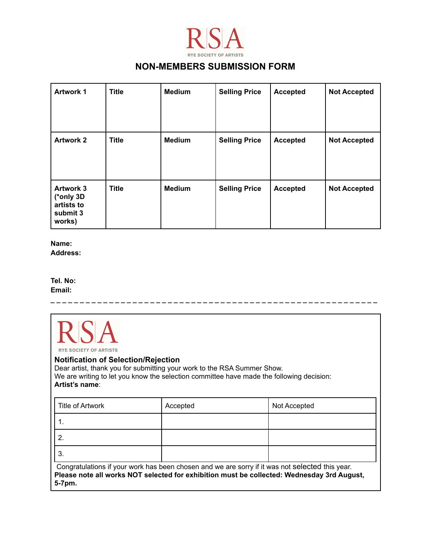

### **NON-MEMBERS SUBMISSION FORM**

| <b>Artwork 1</b>                                                  | <b>Title</b> | <b>Medium</b> | <b>Selling Price</b> | <b>Accepted</b> | <b>Not Accepted</b> |
|-------------------------------------------------------------------|--------------|---------------|----------------------|-----------------|---------------------|
| <b>Artwork 2</b>                                                  | <b>Title</b> | <b>Medium</b> | <b>Selling Price</b> | <b>Accepted</b> | <b>Not Accepted</b> |
| <b>Artwork 3</b><br>(*only 3D<br>artists to<br>submit 3<br>works) | <b>Title</b> | <b>Medium</b> | <b>Selling Price</b> | <b>Accepted</b> | <b>Not Accepted</b> |

**Name: Address:**

**Tel. No: Email:**



**\_ \_ \_ \_ \_ \_ \_ \_ \_ \_ \_ \_ \_ \_ \_ \_ \_ \_ \_ \_ \_ \_ \_ \_ \_ \_ \_ \_ \_ \_ \_ \_ \_ \_ \_ \_ \_ \_ \_ \_ \_ \_ \_ \_ \_ \_ \_ \_ \_ \_ \_ \_ \_ \_ \_ \_**